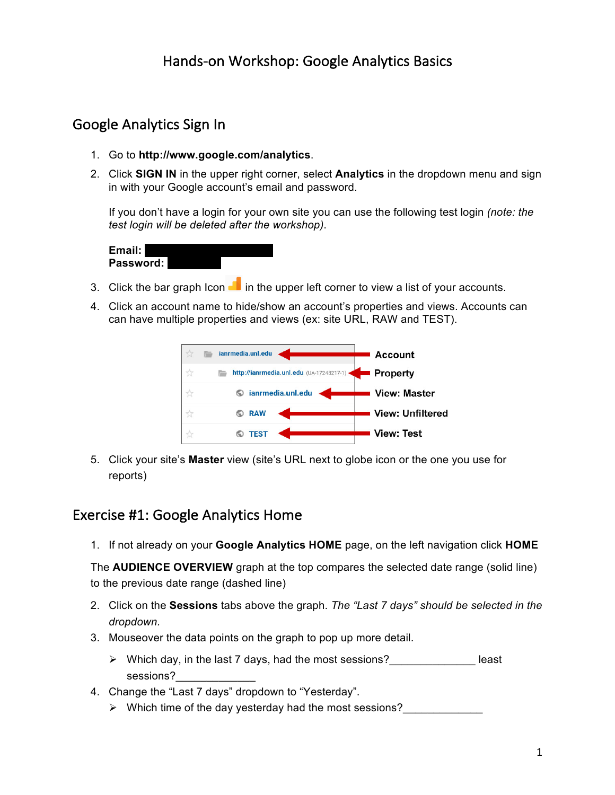# Google Analytics Sign In

- 1. Go to **http://www.google.com/analytics**.
- 2. Click **SIGN IN** in the upper right corner, select **Analytics** in the dropdown menu and sign in with your Google account's email and password.

If you don't have a login for your own site you can use the following test login *(note: the test login will be deleted after the workshop)*.

| Email:    |  |  |
|-----------|--|--|
| Password: |  |  |

- 3. Click the bar graph Icon  $\blacksquare$  in the upper left corner to view a list of your accounts.
- 4. Click an account name to hide/show an account's properties and views. Accounts can can have multiple properties and views (ex: site URL, RAW and TEST).



5. Click your site's **Master** view (site's URL next to globe icon or the one you use for reports)

#### Exercise #1: Google Analytics Home

1. If not already on your **Google Analytics HOME** page, on the left navigation click **HOME**

The **AUDIENCE OVERVIEW** graph at the top compares the selected date range (solid line) to the previous date range (dashed line)

- 2. Click on the **Sessions** tabs above the graph. *The "Last 7 days" should be selected in the dropdown.*
- 3. Mouseover the data points on the graph to pop up more detail.
	- $\triangleright$  Which day, in the last 7 days, had the most sessions?  $\triangleright$  least sessions?
- 4. Change the "Last 7 days" dropdown to "Yesterday".
	- $\triangleright$  Which time of the day yesterday had the most sessions?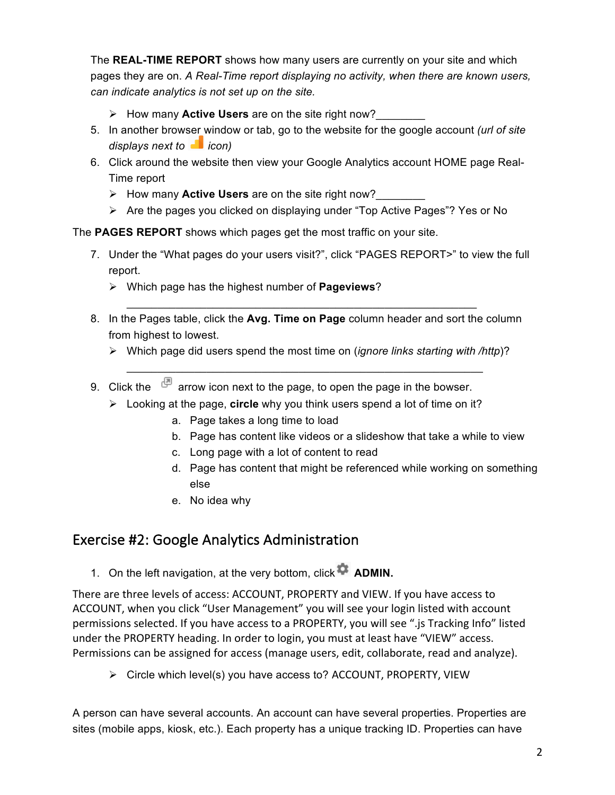The **REAL-TIME REPORT** shows how many users are currently on your site and which pages they are on. *A Real-Time report displaying no activity, when there are known users, can indicate analytics is not set up on the site.* 

- Ø How many **Active Users** are on the site right now?\_\_\_\_\_\_\_\_
- 5. In another browser window or tab, go to the website for the google account *(url of site displays next to i icon)*
- 6. Click around the website then view your Google Analytics account HOME page Real-Time report
	- Ø How many **Active Users** are on the site right now?\_\_\_\_\_\_\_\_
	- Ø Are the pages you clicked on displaying under "Top Active Pages"? Yes or No

The **PAGES REPORT** shows which pages get the most traffic on your site.

- 7. Under the "What pages do your users visit?", click "PAGES REPORT>" to view the full report.
	- Ø Which page has the highest number of **Pageviews**?
- 8. In the Pages table, click the **Avg. Time on Page** column header and sort the column from highest to lowest.

 $\mathcal{L}_\text{max}$  , and the contract of the contract of the contract of the contract of the contract of the contract of the contract of the contract of the contract of the contract of the contract of the contract of the contr

Ø Which page did users spend the most time on (*ignore links starting with /http*)?

 $\mathcal{L}_\text{max}$  , and the contract of the contract of the contract of the contract of the contract of the contract of the contract of the contract of the contract of the contract of the contract of the contract of the contr

- 9. Click the  $\mathbb{P}$  arrow icon next to the page, to open the page in the bowser.
	- Ø Looking at the page, **circle** why you think users spend a lot of time on it?
		- a. Page takes a long time to load
		- b. Page has content like videos or a slideshow that take a while to view
		- c. Long page with a lot of content to read
		- d. Page has content that might be referenced while working on something else
		- e. No idea why

## Exercise #2: Google Analytics Administration

1. On the left navigation, at the very bottom, click<sup>3</sup> ADMIN.

There are three levels of access: ACCOUNT, PROPERTY and VIEW. If you have access to ACCOUNT, when you click "User Management" you will see your login listed with account permissions selected. If you have access to a PROPERTY, you will see ".js Tracking Info" listed under the PROPERTY heading. In order to login, you must at least have "VIEW" access. Permissions can be assigned for access (manage users, edit, collaborate, read and analyze).

 $\triangleright$  Circle which level(s) you have access to? ACCOUNT, PROPERTY, VIEW

A person can have several accounts. An account can have several properties. Properties are sites (mobile apps, kiosk, etc.). Each property has a unique tracking ID. Properties can have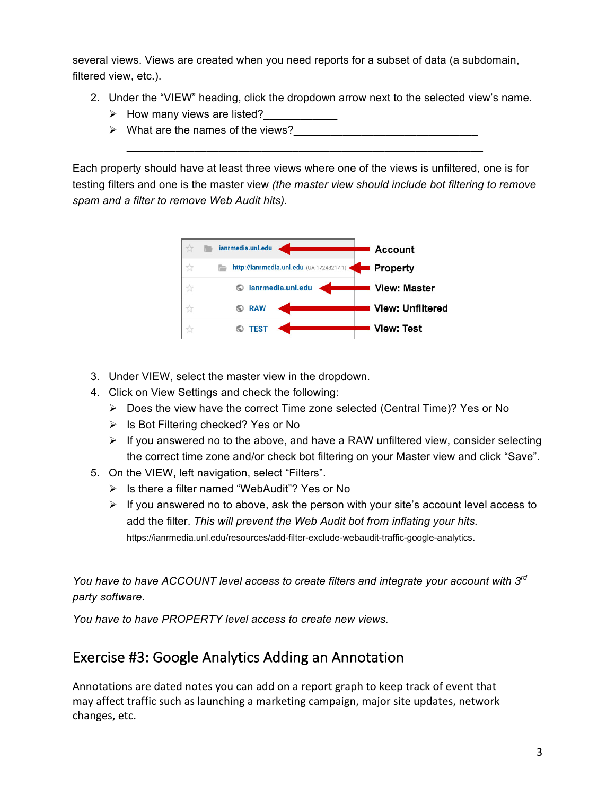several views. Views are created when you need reports for a subset of data (a subdomain, filtered view, etc.).

- 2. Under the "VIEW" heading, click the dropdown arrow next to the selected view's name.
	- $\triangleright$  How many views are listed?
	- $\triangleright$  What are the names of the views?

Each property should have at least three views where one of the views is unfiltered, one is for testing filters and one is the master view *(the master view should include bot filtering to remove spam and a filter to remove Web Audit hits).*

 $\mathcal{L}_\text{max}$  , and the contract of the contract of the contract of the contract of the contract of the contract of the contract of the contract of the contract of the contract of the contract of the contract of the contr



- 3. Under VIEW, select the master view in the dropdown.
- 4. Click on View Settings and check the following:
	- $\triangleright$  Does the view have the correct Time zone selected (Central Time)? Yes or No
	- $\triangleright$  Is Bot Filtering checked? Yes or No
	- $\triangleright$  If you answered no to the above, and have a RAW unfiltered view, consider selecting the correct time zone and/or check bot filtering on your Master view and click "Save".
- 5. On the VIEW, left navigation, select "Filters".
	- Ø Is there a filter named "WebAudit"? Yes or No
	- $\triangleright$  If you answered no to above, ask the person with your site's account level access to add the filter. *This will prevent the Web Audit bot from inflating your hits.* https://ianrmedia.unl.edu/resources/add-filter-exclude-webaudit-traffic-google-analytics.

*You have to have ACCOUNT level access to create filters and integrate your account with 3rd party software.*

*You have to have PROPERTY level access to create new views.*

# Exercise #3: Google Analytics Adding an Annotation

Annotations are dated notes you can add on a report graph to keep track of event that may affect traffic such as launching a marketing campaign, major site updates, network changes, etc.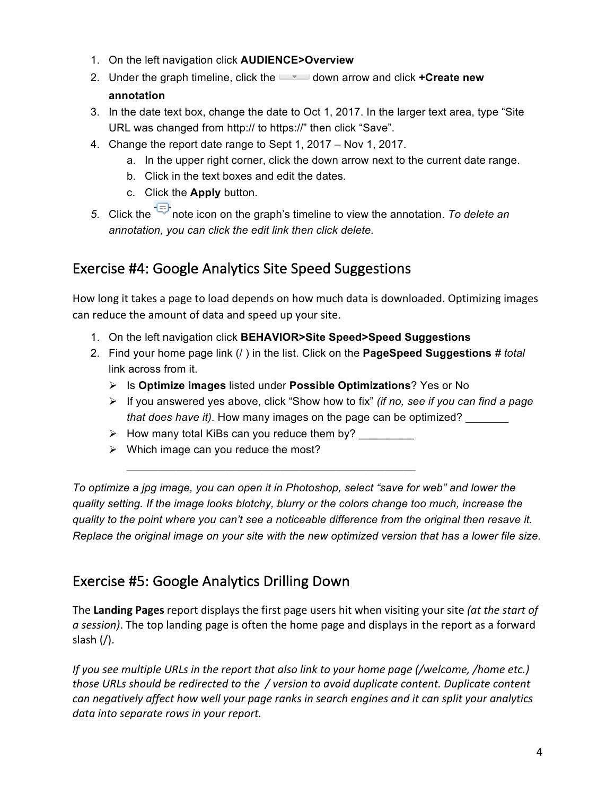- 1. On the left navigation click **AUDIENCE>Overview**
- 2. Under the graph timeline, click the **down arrow and click <b>+Create new annotation**
- 3. In the date text box, change the date to Oct 1, 2017. In the larger text area, type "Site URL was changed from http:// to https://" then click "Save".
- 4. Change the report date range to Sept 1, 2017 Nov 1, 2017.
	- a. In the upper right corner, click the down arrow next to the current date range.
	- b. Click in the text boxes and edit the dates*.*
	- c. Click the **Apply** button.
- *5.* Click the note icon on the graph's timeline to view the annotation. *To delete an annotation, you can click the edit link then click delete.*

## Exercise #4: Google Analytics Site Speed Suggestions

How long it takes a page to load depends on how much data is downloaded. Optimizing images can reduce the amount of data and speed up your site.

- 1. On the left navigation click **BEHAVIOR>Site Speed>Speed Suggestions**
- 2. Find your home page link (/ ) in the list. Click on the **PageSpeed Suggestions** *# total* link across from it.
	- Ø Is **Optimize images** listed under **Possible Optimizations**? Yes or No
	- Ø If you answered yes above, click "Show how to fix" *(if no, see if you can find a page that does have it*). How many images on the page can be optimized?
	- $\triangleright$  How many total KiBs can you reduce them by?

 $\mathcal{L}_\mathcal{L}$  , where  $\mathcal{L}_\mathcal{L}$  is the set of the set of the set of the set of the set of the set of the set of the set of the set of the set of the set of the set of the set of the set of the set of the set of the

 $\triangleright$  Which image can you reduce the most?

*To optimize a jpg image, you can open it in Photoshop, select "save for web" and lower the quality setting. If the image looks blotchy, blurry or the colors change too much, increase the quality to the point where you can't see a noticeable difference from the original then resave it. Replace the original image on your site with the new optimized version that has a lower file size.*

## Exercise #5: Google Analytics Drilling Down

The Landing Pages report displays the first page users hit when visiting your site (at the start of a session). The top landing page is often the home page and displays in the report as a forward slash  $\left(\frac{\ }{\ } \right)$ .

*If you see multiple URLs in the report that also link to your home page (/welcome, /home etc.) those URLs should be redirected to the / version to avoid duplicate content. Duplicate content can negatively affect how well your page ranks in search engines and it can split your analytics*  data into separate rows in your report.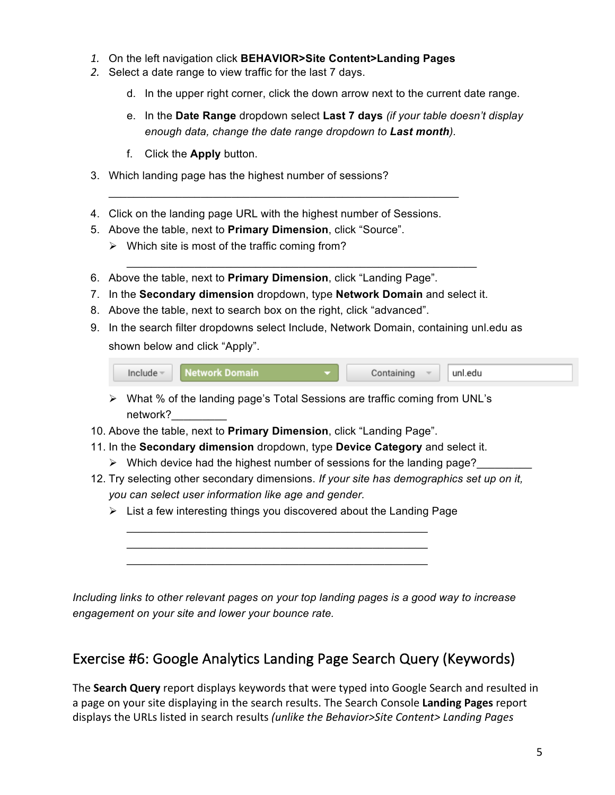- *1.* On the left navigation click **BEHAVIOR>Site Content>Landing Pages**
- *2.* Select a date range to view traffic for the last 7 days.
	- d. In the upper right corner, click the down arrow next to the current date range.
	- e. In the **Date Range** dropdown select **Last 7 days** *(if your table doesn't display enough data, change the date range dropdown to Last month).*
	- f. Click the **Apply** button.
- 3. Which landing page has the highest number of sessions?
- 4. Click on the landing page URL with the highest number of Sessions.

 $\mathcal{L}_\text{max}$  , and the contract of the contract of the contract of the contract of the contract of the contract of the contract of the contract of the contract of the contract of the contract of the contract of the contr

- 5. Above the table, next to **Primary Dimension**, click "Source".
	- $\triangleright$  Which site is most of the traffic coming from?
- 6. Above the table, next to **Primary Dimension**, click "Landing Page".
- 7. In the **Secondary dimension** dropdown, type **Network Domain** and select it.

 $\mathcal{L}_\text{max}$  , and the contract of the contract of the contract of the contract of the contract of the contract of the contract of the contract of the contract of the contract of the contract of the contract of the contr

- 8. Above the table, next to search box on the right, click "advanced".
- 9. In the search filter dropdowns select Include, Network Domain, containing unl.edu as shown below and click "Apply".

- $\triangleright$  What % of the landing page's Total Sessions are traffic coming from UNL's network?
- 10. Above the table, next to **Primary Dimension**, click "Landing Page".
- 11. In the **Secondary dimension** dropdown, type **Device Category** and select it.
	- $\triangleright$  Which device had the highest number of sessions for the landing page?
- 12. Try selecting other secondary dimensions. *If your site has demographics set up on it, you can select user information like age and gender.*
	- $\triangleright$  List a few interesting things you discovered about the Landing Page

 $\mathcal{L}_\mathcal{L}$  $\mathcal{L}_\mathcal{L}$  $\mathcal{L}_\mathcal{L}$ 

*Including links to other relevant pages on your top landing pages is a good way to increase engagement on your site and lower your bounce rate.* 

## Exercise #6: Google Analytics Landing Page Search Query (Keywords)

The **Search Query** report displays keywords that were typed into Google Search and resulted in a page on your site displaying in the search results. The Search Console Landing Pages report displays the URLs listed in search results *(unlike the Behavior>Site Content> Landing Pages*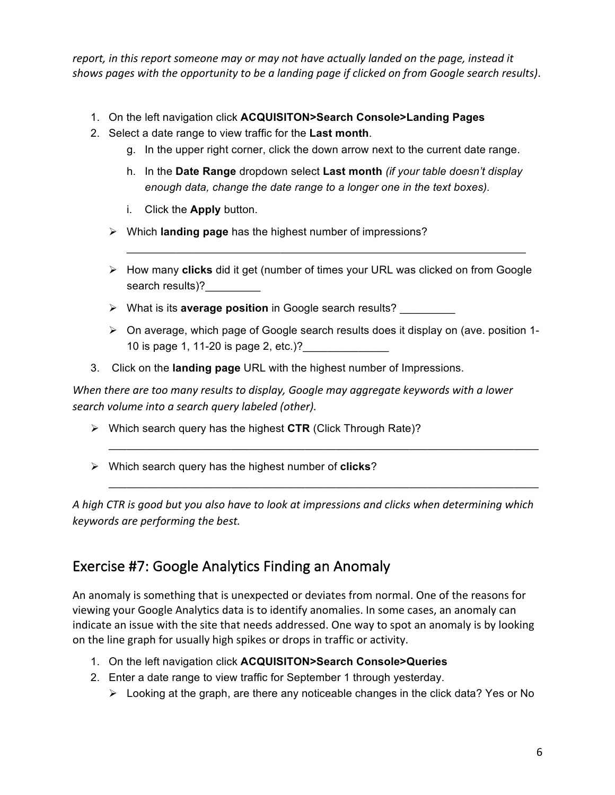report, in this report someone may or may not have actually landed on the page, instead it *shows pages with the opportunity to be a landing page if clicked on from Google search results).* 

- 1. On the left navigation click **ACQUISITON>Search Console>Landing Pages**
- 2. Select a date range to view traffic for the **Last month**.
	- g. In the upper right corner, click the down arrow next to the current date range.
	- h. In the **Date Range** dropdown select **Last month** *(if your table doesn't display enough data, change the date range to a longer one in the text boxes).*
	- i. Click the **Apply** button.
	- Ø Which **landing page** has the highest number of impressions?
	- Ø How many **clicks** did it get (number of times your URL was clicked on from Google search results)?

 $\mathcal{L}_\text{max}$  , and the contract of the contract of the contract of the contract of the contract of the contract of the contract of the contract of the contract of the contract of the contract of the contract of the contr

- Ø What is its **average position** in Google search results? \_\_\_\_\_\_\_\_\_
- Ø On average, which page of Google search results does it display on (ave. position 1- 10 is page 1, 11-20 is page 2, etc.)?
- 3. Click on the **landing page** URL with the highest number of Impressions.

When there are too many results to display, Google may aggregate keywords with a lower *search volume into a search query labeled (other).*

- Ø Which search query has the highest **CTR** (Click Through Rate)?
- Ø Which search query has the highest number of **clicks**?

A high CTR is good but you also have to look at impressions and clicks when determining which *keywords are performing the best.* 

 $\mathcal{L}_\text{max}$  , and the contract of the contract of the contract of the contract of the contract of the contract of the contract of the contract of the contract of the contract of the contract of the contract of the contr

#### Exercise #7: Google Analytics Finding an Anomaly

An anomaly is something that is unexpected or deviates from normal. One of the reasons for viewing your Google Analytics data is to identify anomalies. In some cases, an anomaly can indicate an issue with the site that needs addressed. One way to spot an anomaly is by looking on the line graph for usually high spikes or drops in traffic or activity.

- 1. On the left navigation click **ACQUISITON>Search Console>Queries**
- 2. Enter a date range to view traffic for September 1 through yesterday.
	- $\triangleright$  Looking at the graph, are there any noticeable changes in the click data? Yes or No